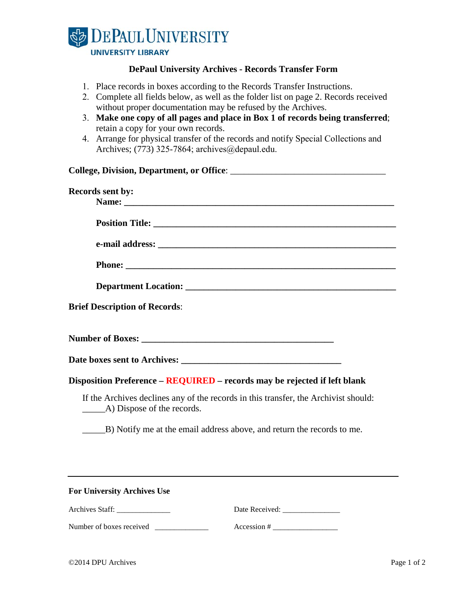

## **DePaul University Archives - Records Transfer Form**

- 1. Place records in boxes according to the Records Transfer Instructions.
- 2. Complete all fields below, as well as the folder list on page 2. Records received without proper documentation may be refused by the Archives.
- 3. **Make one copy of all pages and place in Box 1 of records being transferred**; retain a copy for your own records.
- 4. Arrange for physical transfer of the records and notify Special Collections and Archives; (773) 325-7864; archives@depaul.edu.

| Records sent by:                                                                                                   |  |  |  |
|--------------------------------------------------------------------------------------------------------------------|--|--|--|
|                                                                                                                    |  |  |  |
|                                                                                                                    |  |  |  |
|                                                                                                                    |  |  |  |
|                                                                                                                    |  |  |  |
|                                                                                                                    |  |  |  |
| <b>Brief Description of Records:</b>                                                                               |  |  |  |
|                                                                                                                    |  |  |  |
|                                                                                                                    |  |  |  |
| Disposition Preference - REQUIRED - records may be rejected if left blank                                          |  |  |  |
| If the Archives declines any of the records in this transfer, the Archivist should:<br>(A) Dispose of the records. |  |  |  |
| B) Notify me at the email address above, and return the records to me.                                             |  |  |  |
|                                                                                                                    |  |  |  |
| <b>For University Archives Use</b>                                                                                 |  |  |  |
| Archives Staff:<br>Date Received:                                                                                  |  |  |  |

Number of boxes received \_\_\_\_\_\_\_\_\_\_\_\_\_\_ Accession # \_\_\_\_\_\_\_\_\_\_\_\_\_\_\_\_\_